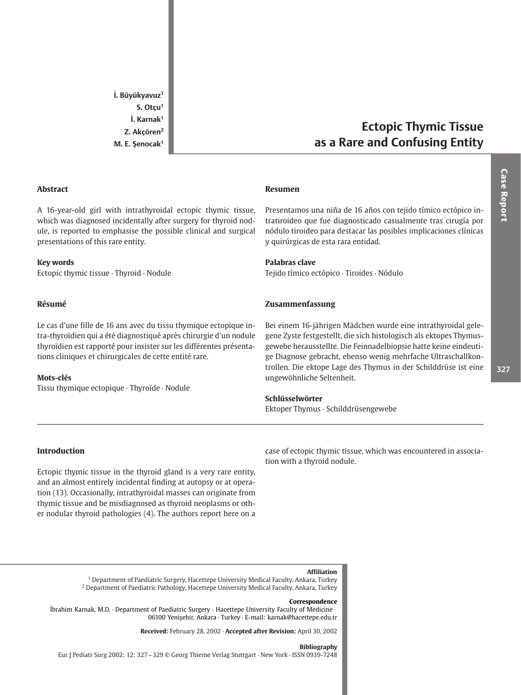İ. Büyükyavuz<sup>1</sup>  $S.$  Otçu<sup>1</sup> İ. Karnak<sup>1</sup> Z. Akçören<sup>2</sup> M. E. Şenocak<sup>1</sup>

## **Abstract**

A 16-year-old girl with intrathyroidal ectopic thymic tissue, which was diagnosed incidentally after surgery for thyroid nodule, is reported to emphasise the possible clinical and surgical presentations of this rare entity.

## **Kev words**

Ectopic thymic tissue · Thyroid · Nodule

## Résumé

Le cas d'une fille de 16 ans avec du tissu thymique ectopique intra-thyroïdien qui a été diagnostiqué après chirurgie d'un nodule thyroïdien est rapporté pour insister sur les différentes présentations cliniques et chirurgicales de cette entité rare.

# Mots-clés

Tissu thymique ectopique · Thyroïde · Nodule

### **Resumen**

Presentamos una niña de 16 años con tejido tímico ectópico intratiroideo que fue diagnosticado casualmente tras cirugía por nódulo tiroideo para destacar las posibles implicaciones clínicas y quirúrgicas de esta rara entidad.

**Ectopic Thymic Tissue** 

as a Rare and Confusing Entity

# Palabras clave

Tejido tímico ectópico · Tiroides · Nódulo

# Zusammenfassung

Bei einem 16-jährigen Mädchen wurde eine intrathyroidal gelegene Zyste festgestellt, die sich histologisch als ektopes Thymusgewebe herausstellte. Die Feinnadelbiopsie hatte keine eindeutige Diagnose gebracht, ebenso wenig mehrfache Ultraschallkontrollen. Die ektope Lage des Thymus in der Schilddrüse ist eine ungewöhnliche Seltenheit.

# Schlüsselwörter

Ektoper Thymus · Schilddrüsengewebe

# Introduction

Ectopic thymic tissue in the thyroid gland is a very rare entity, and an almost entirely incidental finding at autopsy or at operation (13). Occasionally, intrathyroidal masses can originate from thymic tissue and be misdiagnosed as thyroid neoplasms or other nodular thyroid pathologies (4). The authors report here on a case of ectopic thymic tissue, which was encountered in association with a thyroid nodule.

## **Affiliation**

<sup>1</sup> Department of Paediatric Surgery, Hacettepe University Medical Faculty, Ankara, Turkey <sup>2</sup> Department of Paediatric Pathology, Hacettepe University Medical Faculty, Ankara, Turkey

### Correspondence

İbrahim Karnak, M.D. · Department of Paediatric Surgery · Hacettepe University Faculty of Medicine · 06100 Yenişehir, Ankara · Turkey · E-mail: karnak@hacettepe.edu.tr

Received: February 28, 2002 · Accepted after Revision: April 30, 2002

### **Bibliography**

Eur J Pediatr Surg 2002; 12: 327 - 329 © Georg Thieme Verlag Stuttgart · New York · ISSN 0939-7248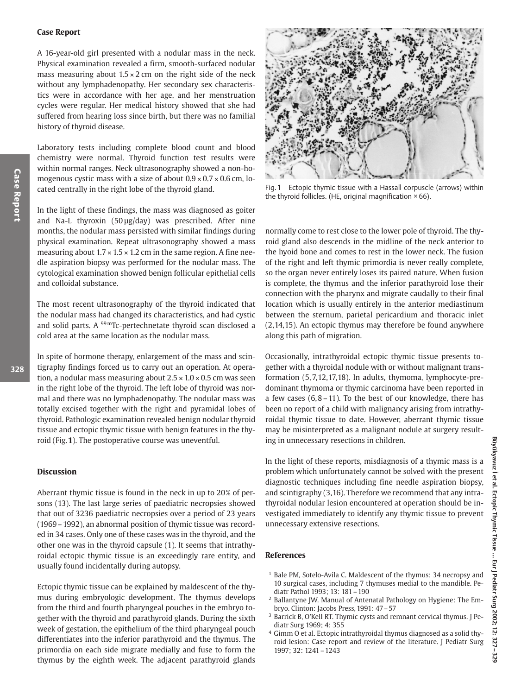## **Case Report**

A 16-year-old girl presented with a nodular mass in the neck. Physical examination revealed a firm, smooth-surfaced nodular mass measuring about  $1.5 \times 2$  cm on the right side of the neck without any lymphadenopathy. Her secondary sex characteristics were in accordance with her age, and her menstruation cycles were regular. Her medical history showed that she had suffered from hearing loss since birth, but there was no familial history of thyroid disease.

Laboratory tests including complete blood count and blood chemistry were normal. Thyroid function test results were within normal ranges. Neck ultrasonography showed a non-homogenous cystic mass with a size of about  $0.9 \times 0.7 \times 0.6$  cm, located centrally in the right lobe of the thyroid gland.

In the light of these findings, the mass was diagnosed as goiter and Na-L thyroxin (50 µg/day) was prescribed. After nine months, the nodular mass persisted with similar findings during physical examination. Repeat ultrasonography showed a mass measuring about  $1.7 \times 1.5 \times 1.2$  cm in the same region. A fine needle aspiration biopsy was performed for the nodular mass. The cytological examination showed benign follicular epithelial cells and colloidal substance.

The most recent ultrasonography of the thyroid indicated that the nodular mass had changed its characteristics, and had cystic and solid parts. A <sup>99 m</sup>Tc-pertechnetate thyroid scan disclosed a cold area at the same location as the nodular mass.

In spite of hormone therapy, enlargement of the mass and scintigraphy findings forced us to carry out an operation. At operation, a nodular mass measuring about  $2.5 \times 1.0 \times 0.5$  cm was seen in the right lobe of the thyroid. The left lobe of thyroid was normal and there was no lymphadenopathy. The nodular mass was totally excised together with the right and pyramidal lobes of thyroid. Pathologic examination revealed benign nodular thyroid tissue and ectopic thymic tissue with benign features in the thyroid (Fig. 1). The postoperative course was uneventful.

## **Discussion**

Aberrant thymic tissue is found in the neck in up to 20% of persons (13). The last large series of paediatric necropsies showed that out of 3236 paediatric necropsies over a period of 23 years (1969 – 1992), an abnormal position of thymic tissue was recorded in 34 cases. Only one of these cases was in the thyroid, and the other one was in the thyroid capsule (1). It seems that intrathyroidal ectopic thymic tissue is an exceedingly rare entity, and usually found incidentally during autopsy.

Ectopic thymic tissue can be explained by maldescent of the thymus during embryologic development. The thymus develops from the third and fourth pharyngeal pouches in the embryo together with the thyroid and parathyroid glands. During the sixth week of gestation, the epithelium of the third pharyngeal pouch differentiates into the inferior parathyroid and the thymus. The primordia on each side migrate medially and fuse to form the thymus by the eighth week. The adjacent parathyroid glands



Fig. 1 Ectopic thymic tissue with a Hassall corpuscle (arrows) within the thyroid follicles. (HE, original magnification  $\times$  66).

normally come to rest close to the lower pole of thyroid. The thyroid gland also descends in the midline of the neck anterior to the hyoid bone and comes to rest in the lower neck. The fusion of the right and left thymic primordia is never really complete, so the organ never entirely loses its paired nature. When fusion is complete, the thymus and the inferior parathyroid lose their connection with the pharynx and migrate caudally to their final location which is usually entirely in the anterior mediastinum between the sternum, parietal pericardium and thoracic inlet (2,14,15). An ectopic thymus may therefore be found anywhere along this path of migration.

Occasionally, intrathyroidal ectopic thymic tissue presents together with a thyroidal nodule with or without malignant transformation (5.7.12.17.18). In adults, thymoma, lymphocyte-predominant thymoma or thymic carcinoma have been reported in a few cases  $(6, 8-11)$ . To the best of our knowledge, there has been no report of a child with malignancy arising from intrathyroidal thymic tissue to date. However, aberrant thymic tissue may be misinterpreted as a malignant nodule at surgery resulting in unnecessary resections in children.

In the light of these reports, misdiagnosis of a thymic mass is a problem which unfortunately cannot be solved with the present diagnostic techniques including fine needle aspiration biopsy, and scintigraphy (3,16). Therefore we recommend that any intrathyroidal nodular lesion encountered at operation should be investigated immediately to identify any thymic tissue to prevent unnecessary extensive resections.

# **References**

- <sup>1</sup> Bale PM, Sotelo-Avila C. Maldescent of the thymus: 34 necropsy and 10 surgical cases, including 7 thymuses medial to the mandible. Pediatr Pathol 1993; 13: 181-190
- <sup>2</sup> Ballantyne JW. Manual of Antenatal Pathology on Hygiene: The Embryo. Clinton: Jacobs Press, 1991: 47 - 57
- <sup>3</sup> Barrick B, O'Kell RT. Thymic cysts and remnant cervical thymus. J Pediatr Surg 1969; 4: 355
- <sup>4</sup> Gimm O et al. Ectopic intrathyroidal thymus diagnosed as a solid thyroid lesion: Case report and review of the literature. J Pediatr Surg 1997; 32: 1241 - 1243